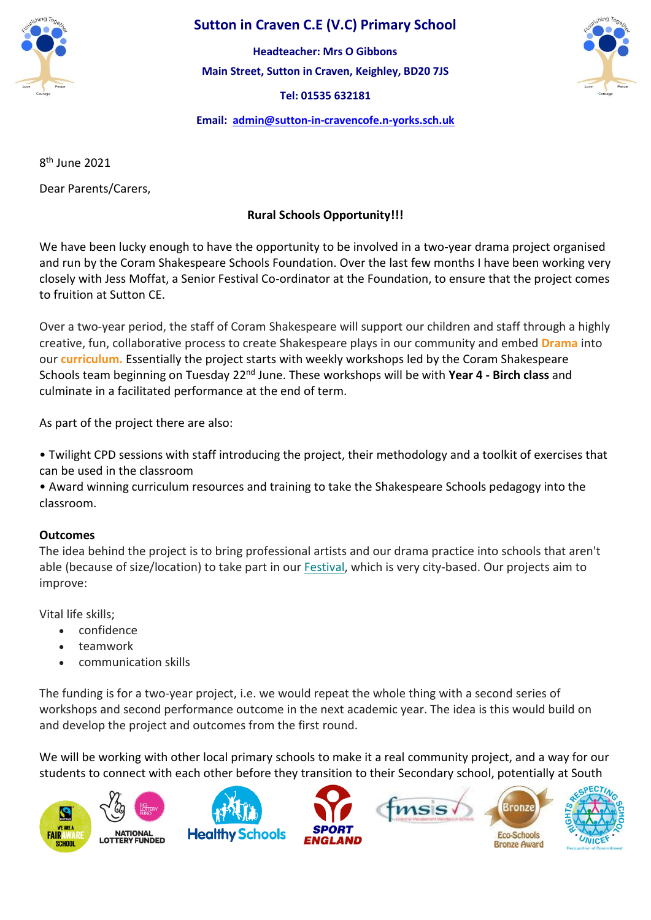

## **Sutton in Craven C.E (V.C) Primary School**

**Main Street, Sutton in Craven, Keighley, BD20 7JS Tel: 01535 632181 Headteacher: Mrs O Gibbons**



**Email: [admin@sutton-in-cravencofe.n-yorks.sch.uk](mailto:admin@sutton-in-cravencofe.n-yorks.sch.uk)**

8 th June 2021

Dear Parents/Carers,

## **Rural Schools Opportunity!!!**

We have been lucky enough to have the opportunity to be involved in a two-year drama project organised and run by the Coram Shakespeare Schools Foundation. Over the last few months I have been working very closely with Jess Moffat, a Senior Festival Co-ordinator at the Foundation, to ensure that the project comes to fruition at Sutton CE.

Over a two-year period, the staff of Coram Shakespeare will support our children and staff through a highly creative, fun, collaborative process to create Shakespeare plays in our community and embed **Drama** into our **curriculum.** Essentially the project starts with weekly workshops led by the Coram Shakespeare Schools team beginning on Tuesday 22nd June. These workshops will be with **Year 4 - Birch class** and culminate in a facilitated performance at the end of term.

As part of the project there are also:

• Twilight CPD sessions with staff introducing the project, their methodology and a toolkit of exercises that can be used in the classroom

• Award winning curriculum resources and training to take the Shakespeare Schools pedagogy into the classroom.

## **Outcomes**

The idea behind the project is to bring professional artists and our drama practice into schools that aren't able (because of size/location) to take part in our [Festival,](https://www.shakespeareschools.org/the-festival?mc_cid=2ee4dbe987&mc_eid=UNIQID) which is very city-based. Our projects aim to improve:

Vital life skills;

- confidence
- teamwork
- communication skills

The funding is for a two-year project, i.e. we would repeat the whole thing with a second series of workshops and second performance outcome in the next academic year. The idea is this would build on and develop the project and outcomes from the first round.

We will be working with other local primary schools to make it a real community project, and a way for our students to connect with each other before they transition to their Secondary school, potentially at South